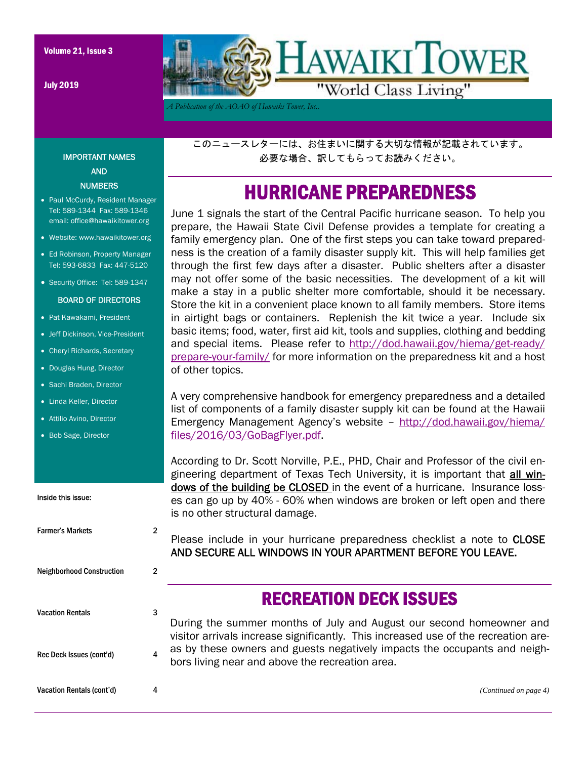July 2019



*A Publication of the AOAO of Hawaiki Tower, Inc..* 

このニュースレターには、お住まいに関する大切な情報が記載されています。 必要な場合、訳してもらってお読みください。

### HURRICANE PREPAREDNESS

June 1 signals the start of the Central Pacific hurricane season. To help you prepare, the Hawaii State Civil Defense provides a template for creating a family emergency plan. One of the first steps you can take toward preparedness is the creation of a family disaster supply kit. This will help families get through the first few days after a disaster. Public shelters after a disaster may not offer some of the basic necessities. The development of a kit will make a stay in a public shelter more comfortable, should it be necessary. Store the kit in a convenient place known to all family members. Store items in airtight bags or containers. Replenish the kit twice a year. Include six basic items; food, water, first aid kit, tools and supplies, clothing and bedding and special items. Please refer to http://dod.hawaii.gov/hiema/get-ready/ prepare-your-family/ for more information on the preparedness kit and a host of other topics.

A very comprehensive handbook for emergency preparedness and a detailed list of components of a family disaster supply kit can be found at the Hawaii Emergency Management Agency's website – http://dod.hawaii.gov/hiema/ files/2016/03/GoBagFlyer.pdf.

According to Dr. Scott Norville, P.E., PHD, Chair and Professor of the civil engineering department of Texas Tech University, it is important that all windows of the building be CLOSED in the event of a hurricane. Insurance losses can go up by 40% - 60% when windows are broken or left open and there is no other structural damage.

Please include in your hurricane preparedness checklist a note to CLOSE AND SECURE ALL WINDOWS IN YOUR APARTMENT BEFORE YOU LEAVE.

### RECREATION DECK ISSUES

During the summer months of July and August our second homeowner and visitor arrivals increase significantly. This increased use of the recreation areas by these owners and guests negatively impacts the occupants and neighbors living near and above the recreation area.

IMPORTANT NAMES AND **NUMBERS** 

- Paul McCurdy, Resident Manager Tel: 589-1344 Fax: 589-1346 email: office@hawaikitower.org
- Website: www.hawaikitower.org
- Ed Robinson, Property Manager Tel: 593-6833 Fax: 447-5120
- Security Office: Tel: 589-1347

#### BOARD OF DIRECTORS

- Pat Kawakami, President
- Jeff Dickinson, Vice-President
- Cheryl Richards, Secretary
- Douglas Hung, Director
- Sachi Braden, Director
- Linda Keller, Director
- Attilio Avino, Director
- Bob Sage, Director

Inside this issue:

# Farmer's Markets 2 Neighborhood Construction 2 Vacation Rentals **3**

Rec Deck Issues (cont'd) 4

Vacation Rentals (cont'd) 4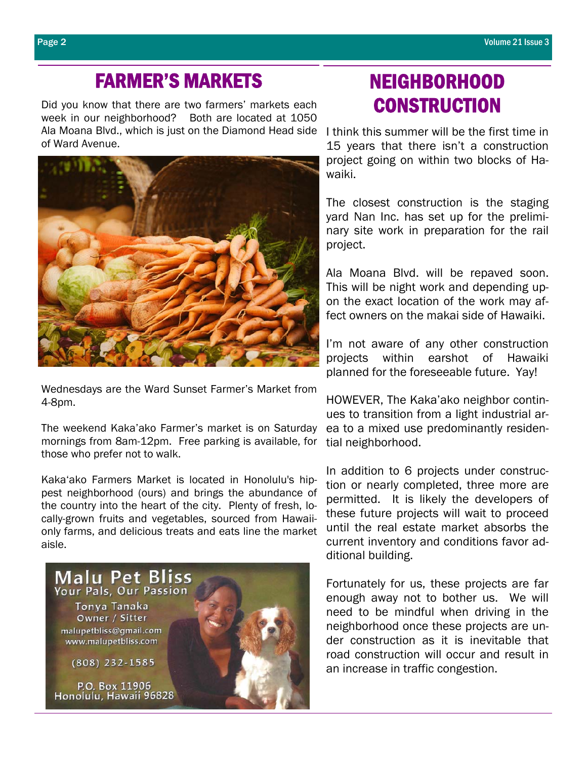### FARMER'S MARKETS

Did you know that there are two farmers' markets each week in our neighborhood? Both are located at 1050 Ala Moana Blvd., which is just on the Diamond Head side I think this summer will be the first time in of Ward Avenue.



Wednesdays are the Ward Sunset Farmer's Market from 4-8pm.

The weekend Kaka'ako Farmer's market is on Saturday mornings from 8am-12pm. Free parking is available, for those who prefer not to walk.

Kaka'ako Farmers Market is located in Honolulu's hippest neighborhood (ours) and brings the abundance of the country into the heart of the city. Plenty of fresh, locally-grown fruits and vegetables, sourced from Hawaiionly farms, and delicious treats and eats line the market aisle.



# NEIGHBORHOOD **CONSTRUCTION**

15 years that there isn't a construction project going on within two blocks of Hawaiki.

The closest construction is the staging yard Nan Inc. has set up for the preliminary site work in preparation for the rail project.

Ala Moana Blvd. will be repaved soon. This will be night work and depending upon the exact location of the work may affect owners on the makai side of Hawaiki.

I'm not aware of any other construction projects within earshot of Hawaiki planned for the foreseeable future. Yay!

HOWEVER, The Kaka'ako neighbor continues to transition from a light industrial area to a mixed use predominantly residential neighborhood.

In addition to 6 projects under construction or nearly completed, three more are permitted. It is likely the developers of these future projects will wait to proceed until the real estate market absorbs the current inventory and conditions favor additional building.

Fortunately for us, these projects are far enough away not to bother us. We will need to be mindful when driving in the neighborhood once these projects are under construction as it is inevitable that road construction will occur and result in an increase in traffic congestion.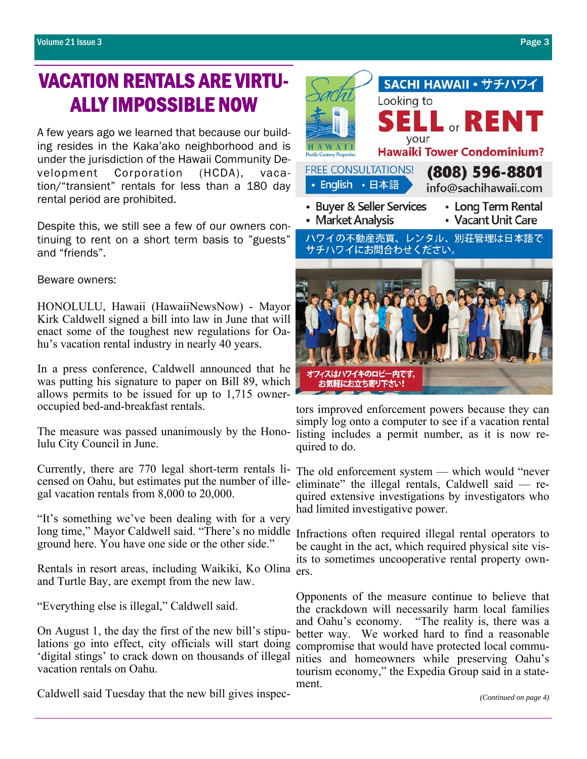# VACATION RENTALS ARE VIRTU-ALLY IMPOSSIBLE NOW

A few years ago we learned that because our building resides in the Kaka'ako neighborhood and is under the jurisdiction of the Hawaii Community Development Corporation (HCDA), vacation/"transient" rentals for less than a 180 day rental period are prohibited.

Despite this, we still see a few of our owners continuing to rent on a short term basis to "guests" and "friends".

#### Beware owners:

HONOLULU, Hawaii (HawaiiNewsNow) - Mayor Kirk Caldwell signed a bill into law in June that will enact some of the toughest new regulations for Oahu's vacation rental industry in nearly 40 years.

In a press conference, Caldwell announced that he was putting his signature to paper on Bill 89, which allows permits to be issued for up to 1,715 owneroccupied bed-and-breakfast rentals.

The measure was passed unanimously by the Honolulu City Council in June.

Currently, there are 770 legal short-term rentals licensed on Oahu, but estimates put the number of illegal vacation rentals from 8,000 to 20,000.

"It's something we've been dealing with for a very long time," Mayor Caldwell said. "There's no middle Infractions often required illegal rental operators to ground here. You have one side or the other side."

Rentals in resort areas, including Waikiki, Ko Olina ers. and Turtle Bay, are exempt from the new law.

"Everything else is illegal," Caldwell said.

On August 1, the day the first of the new bill's stipulations go into effect, city officials will start doing 'digital stings' to crack down on thousands of illegal vacation rentals on Oahu.

Caldwell said Tuesday that the new bill gives inspec-



tors improved enforcement powers because they can simply log onto a computer to see if a vacation rental listing includes a permit number, as it is now required to do.

The old enforcement system — which would "never eliminate" the illegal rentals, Caldwell said — required extensive investigations by investigators who had limited investigative power.

be caught in the act, which required physical site visits to sometimes uncooperative rental property own-

Opponents of the measure continue to believe that the crackdown will necessarily harm local families and Oahu's economy. "The reality is, there was a better way. We worked hard to find a reasonable compromise that would have protected local communities and homeowners while preserving Oahu's tourism economy," the Expedia Group said in a statement.

*(Continued on page 4)*